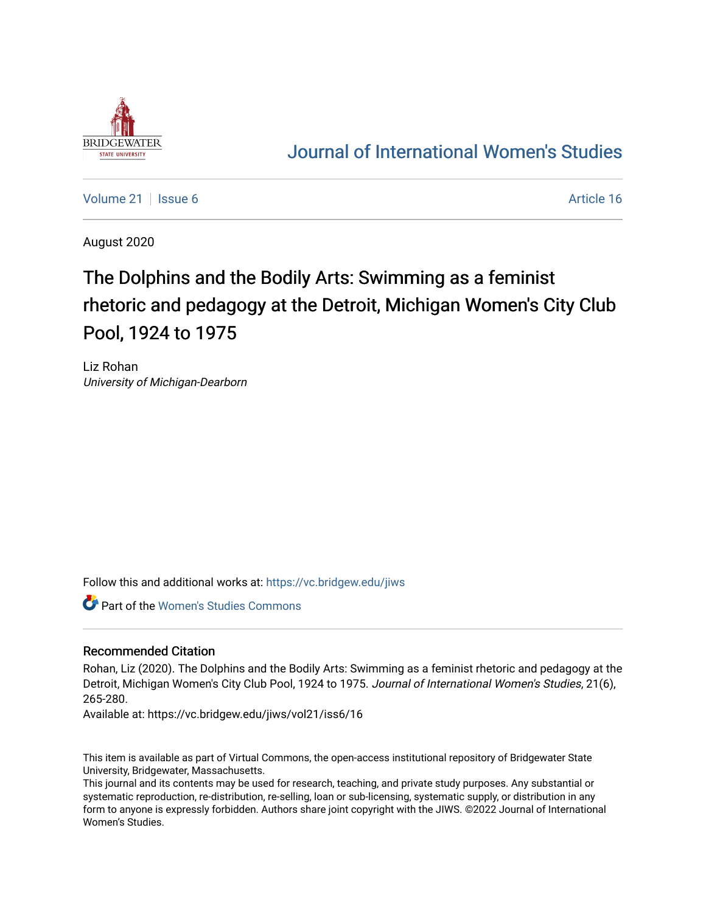

## [Journal of International Women's Studies](https://vc.bridgew.edu/jiws)

[Volume 21](https://vc.bridgew.edu/jiws/vol21) | [Issue 6](https://vc.bridgew.edu/jiws/vol21/iss6) Article 16

August 2020

# The Dolphins and the Bodily Arts: Swimming as a feminist rhetoric and pedagogy at the Detroit, Michigan Women's City Club Pool, 1924 to 1975

Liz Rohan University of Michigan-Dearborn

Follow this and additional works at: [https://vc.bridgew.edu/jiws](https://vc.bridgew.edu/jiws?utm_source=vc.bridgew.edu%2Fjiws%2Fvol21%2Fiss6%2F16&utm_medium=PDF&utm_campaign=PDFCoverPages)

Part of the [Women's Studies Commons](http://network.bepress.com/hgg/discipline/561?utm_source=vc.bridgew.edu%2Fjiws%2Fvol21%2Fiss6%2F16&utm_medium=PDF&utm_campaign=PDFCoverPages) 

#### Recommended Citation

Rohan, Liz (2020). The Dolphins and the Bodily Arts: Swimming as a feminist rhetoric and pedagogy at the Detroit, Michigan Women's City Club Pool, 1924 to 1975. Journal of International Women's Studies, 21(6), 265-280.

Available at: https://vc.bridgew.edu/jiws/vol21/iss6/16

This item is available as part of Virtual Commons, the open-access institutional repository of Bridgewater State University, Bridgewater, Massachusetts.

This journal and its contents may be used for research, teaching, and private study purposes. Any substantial or systematic reproduction, re-distribution, re-selling, loan or sub-licensing, systematic supply, or distribution in any form to anyone is expressly forbidden. Authors share joint copyright with the JIWS. ©2022 Journal of International Women's Studies.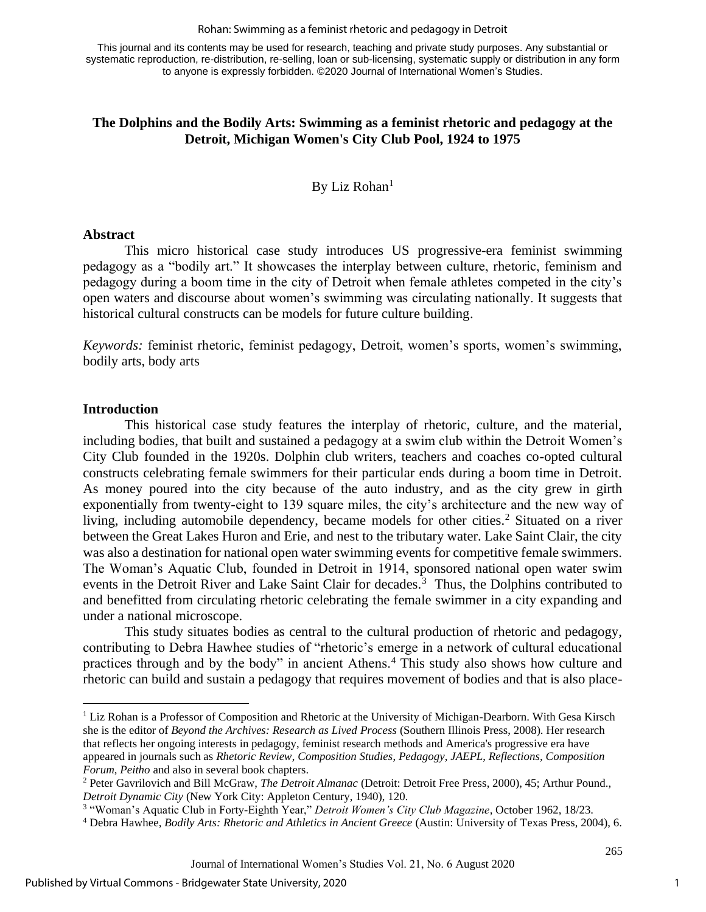#### Rohan: Swimming as a feminist rhetoric and pedagogy in Detroit

This journal and its contents may be used for research, teaching and private study purposes. Any substantial or systematic reproduction, re-distribution, re-selling, loan or sub-licensing, systematic supply or distribution in any form to anyone is expressly forbidden. ©2020 Journal of International Women's Studies.

#### **The Dolphins and the Bodily Arts: Swimming as a feminist rhetoric and pedagogy at the Detroit, Michigan Women's City Club Pool, 1924 to 1975**

By Liz Rohan $<sup>1</sup>$ </sup>

#### **Abstract**

This micro historical case study introduces US progressive-era feminist swimming pedagogy as a "bodily art." It showcases the interplay between culture, rhetoric, feminism and pedagogy during a boom time in the city of Detroit when female athletes competed in the city's open waters and discourse about women's swimming was circulating nationally. It suggests that historical cultural constructs can be models for future culture building.

*Keywords:* feminist rhetoric, feminist pedagogy, Detroit, women's sports, women's swimming, bodily arts, body arts

#### **Introduction**

This historical case study features the interplay of rhetoric, culture, and the material, including bodies, that built and sustained a pedagogy at a swim club within the Detroit Women's City Club founded in the 1920s. Dolphin club writers, teachers and coaches co-opted cultural constructs celebrating female swimmers for their particular ends during a boom time in Detroit. As money poured into the city because of the auto industry, and as the city grew in girth exponentially from twenty-eight to 139 square miles, the city's architecture and the new way of living, including automobile dependency, became models for other cities.<sup>2</sup> Situated on a river between the Great Lakes Huron and Erie, and nest to the tributary water. Lake Saint Clair, the city was also a destination for national open water swimming events for competitive female swimmers. The Woman's Aquatic Club, founded in Detroit in 1914, sponsored national open water swim events in the Detroit River and Lake Saint Clair for decades.<sup>3</sup> Thus, the Dolphins contributed to and benefitted from circulating rhetoric celebrating the female swimmer in a city expanding and under a national microscope.

This study situates bodies as central to the cultural production of rhetoric and pedagogy, contributing to Debra Hawhee studies of "rhetoric's emerge in a network of cultural educational practices through and by the body" in ancient Athens.<sup>4</sup> This study also shows how culture and rhetoric can build and sustain a pedagogy that requires movement of bodies and that is also place-

<sup>&</sup>lt;sup>1</sup> Liz Rohan is a Professor of Composition and Rhetoric at the University of Michigan-Dearborn. With Gesa Kirsch she is the editor of *Beyond the Archives: Research as Lived Process* (Southern Illinois Press, 2008). Her research that reflects her ongoing interests in pedagogy, feminist research methods and America's progressive era have appeared in journals such as *Rhetoric Review*, *Composition Studies*, *Pedagogy*, *JAEPL*, *Reflections, Composition Forum, Peitho* and also in several book chapters.

<sup>2</sup> Peter Gavrilovich and Bill McGraw, *The Detroit Almanac* (Detroit: Detroit Free Press, 2000), 45; Arthur Pound., *Detroit Dynamic City* (New York City: Appleton Century, 1940), 120.

<sup>3</sup> "Woman's Aquatic Club in Forty-Eighth Year," *Detroit Women's City Club Magazine*, October 1962, 18/23.

<sup>4</sup> Debra Hawhee, *Bodily Arts: Rhetoric and Athletics in Ancient Greece* (Austin: University of Texas Press, 2004), 6.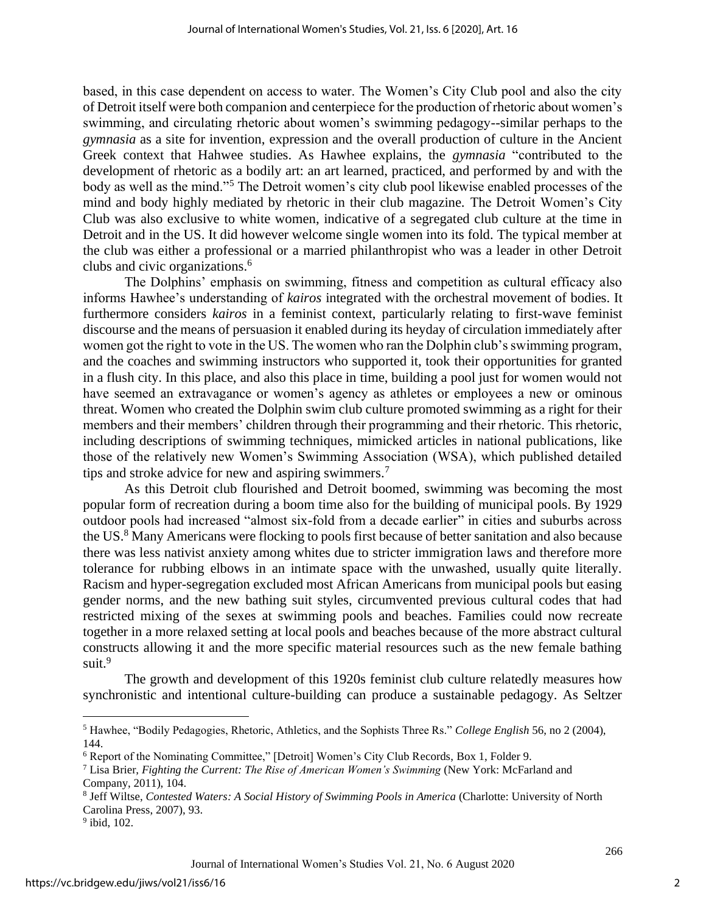based, in this case dependent on access to water. The Women's City Club pool and also the city of Detroit itself were both companion and centerpiece for the production of rhetoric about women's swimming, and circulating rhetoric about women's swimming pedagogy--similar perhaps to the *gymnasia* as a site for invention, expression and the overall production of culture in the Ancient Greek context that Hahwee studies. As Hawhee explains, the *gymnasia* "contributed to the development of rhetoric as a bodily art: an art learned, practiced, and performed by and with the body as well as the mind."<sup>5</sup> The Detroit women's city club pool likewise enabled processes of the mind and body highly mediated by rhetoric in their club magazine. The Detroit Women's City Club was also exclusive to white women, indicative of a segregated club culture at the time in Detroit and in the US. It did however welcome single women into its fold. The typical member at the club was either a professional or a married philanthropist who was a leader in other Detroit clubs and civic organizations.<sup>6</sup>

The Dolphins' emphasis on swimming, fitness and competition as cultural efficacy also informs Hawhee's understanding of *kairos* integrated with the orchestral movement of bodies. It furthermore considers *kairos* in a feminist context, particularly relating to first-wave feminist discourse and the means of persuasion it enabled during its heyday of circulation immediately after women got the right to vote in the US. The women who ran the Dolphin club's swimming program, and the coaches and swimming instructors who supported it, took their opportunities for granted in a flush city. In this place, and also this place in time, building a pool just for women would not have seemed an extravagance or women's agency as athletes or employees a new or ominous threat. Women who created the Dolphin swim club culture promoted swimming as a right for their members and their members' children through their programming and their rhetoric. This rhetoric, including descriptions of swimming techniques, mimicked articles in national publications, like those of the relatively new Women's Swimming Association (WSA), which published detailed tips and stroke advice for new and aspiring swimmers.<sup>7</sup>

As this Detroit club flourished and Detroit boomed, swimming was becoming the most popular form of recreation during a boom time also for the building of municipal pools. By 1929 outdoor pools had increased "almost six-fold from a decade earlier" in cities and suburbs across the US.<sup>8</sup> Many Americans were flocking to pools first because of better sanitation and also because there was less nativist anxiety among whites due to stricter immigration laws and therefore more tolerance for rubbing elbows in an intimate space with the unwashed, usually quite literally. Racism and hyper-segregation excluded most African Americans from municipal pools but easing gender norms, and the new bathing suit styles, circumvented previous cultural codes that had restricted mixing of the sexes at swimming pools and beaches. Families could now recreate together in a more relaxed setting at local pools and beaches because of the more abstract cultural constructs allowing it and the more specific material resources such as the new female bathing suit.<sup>9</sup>

The growth and development of this 1920s feminist club culture relatedly measures how synchronistic and intentional culture-building can produce a sustainable pedagogy. As Seltzer

<sup>5</sup> Hawhee, "Bodily Pedagogies, Rhetoric, Athletics, and the Sophists Three Rs." *College English* 56, no 2 (2004), 144.

<sup>6</sup> Report of the Nominating Committee," [Detroit] Women's City Club Records, Box 1, Folder 9.

<sup>7</sup> Lisa Brier, *Fighting the Current: The Rise of American Women's Swimming* (New York: McFarland and Company, 2011), 104.

<sup>8</sup> Jeff Wiltse, *Contested Waters: A Social History of Swimming Pools in America* (Charlotte: University of North Carolina Press, 2007), 93.

<sup>&</sup>lt;sup>9</sup> ibid, 102.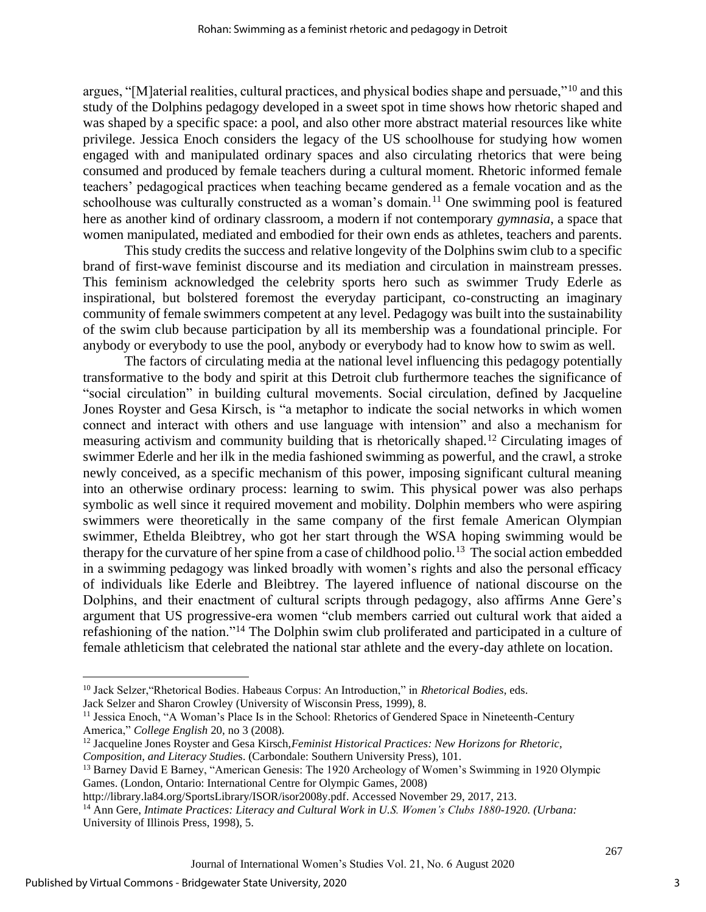argues, "[M]aterial realities, cultural practices, and physical bodies shape and persuade,"<sup>10</sup> and this study of the Dolphins pedagogy developed in a sweet spot in time shows how rhetoric shaped and was shaped by a specific space: a pool, and also other more abstract material resources like white privilege. Jessica Enoch considers the legacy of the US schoolhouse for studying how women engaged with and manipulated ordinary spaces and also circulating rhetorics that were being consumed and produced by female teachers during a cultural moment. Rhetoric informed female teachers' pedagogical practices when teaching became gendered as a female vocation and as the schoolhouse was culturally constructed as a woman's domain.<sup>11</sup> One swimming pool is featured here as another kind of ordinary classroom, a modern if not contemporary *gymnasia*, a space that women manipulated, mediated and embodied for their own ends as athletes, teachers and parents.

This study credits the success and relative longevity of the Dolphins swim club to a specific brand of first-wave feminist discourse and its mediation and circulation in mainstream presses. This feminism acknowledged the celebrity sports hero such as swimmer Trudy Ederle as inspirational, but bolstered foremost the everyday participant, co-constructing an imaginary community of female swimmers competent at any level. Pedagogy was built into the sustainability of the swim club because participation by all its membership was a foundational principle. For anybody or everybody to use the pool, anybody or everybody had to know how to swim as well.

The factors of circulating media at the national level influencing this pedagogy potentially transformative to the body and spirit at this Detroit club furthermore teaches the significance of "social circulation" in building cultural movements. Social circulation, defined by Jacqueline Jones Royster and Gesa Kirsch, is "a metaphor to indicate the social networks in which women connect and interact with others and use language with intension" and also a mechanism for measuring activism and community building that is rhetorically shaped.<sup>12</sup> Circulating images of swimmer Ederle and her ilk in the media fashioned swimming as powerful, and the crawl, a stroke newly conceived, as a specific mechanism of this power, imposing significant cultural meaning into an otherwise ordinary process: learning to swim. This physical power was also perhaps symbolic as well since it required movement and mobility. Dolphin members who were aspiring swimmers were theoretically in the same company of the first female American Olympian swimmer, Ethelda Bleibtrey, who got her start through the WSA hoping swimming would be therapy for the curvature of her spine from a case of childhood polio.<sup>13</sup> The social action embedded in a swimming pedagogy was linked broadly with women's rights and also the personal efficacy of individuals like Ederle and Bleibtrey. The layered influence of national discourse on the Dolphins, and their enactment of cultural scripts through pedagogy, also affirms Anne Gere's argument that US progressive-era women "club members carried out cultural work that aided a refashioning of the nation."<sup>14</sup> The Dolphin swim club proliferated and participated in a culture of female athleticism that celebrated the national star athlete and the every-day athlete on location.

Jack Selzer and Sharon Crowley (University of Wisconsin Press, 1999), 8.

3

<sup>10</sup> Jack Selzer,"Rhetorical Bodies. Habeaus Corpus: An Introduction," in *Rhetorical Bodies*, eds.

<sup>11</sup> Jessica Enoch, "A Woman's Place Is in the School: Rhetorics of Gendered Space in Nineteenth-Century America," *College English* 20, no 3 (2008).

<sup>12</sup> Jacqueline Jones Royster and Gesa Kirsch,*Feminist Historical Practices: New Horizons for Rhetoric, Composition, and Literacy Studie*s. (Carbondale: Southern University Press), 101.

<sup>&</sup>lt;sup>13</sup> Barney David E Barney, "American Genesis: The 1920 Archeology of Women's Swimming in 1920 Olympic Games. (London, Ontario: International Centre for Olympic Games, 2008)

[http://library.la84.org/SportsLibrary/ISOR/isor2008y.pdf.](http://library.la84.org/SportsLibrary/ISOR/isor2008y.pdf) Accessed November 29, 2017, 213.

<sup>14</sup> Ann Gere, *Intimate Practices: Literacy and Cultural Work in U.S. Women's Clubs 1880-1920. (Urbana:* University of Illinois Press, 1998), 5.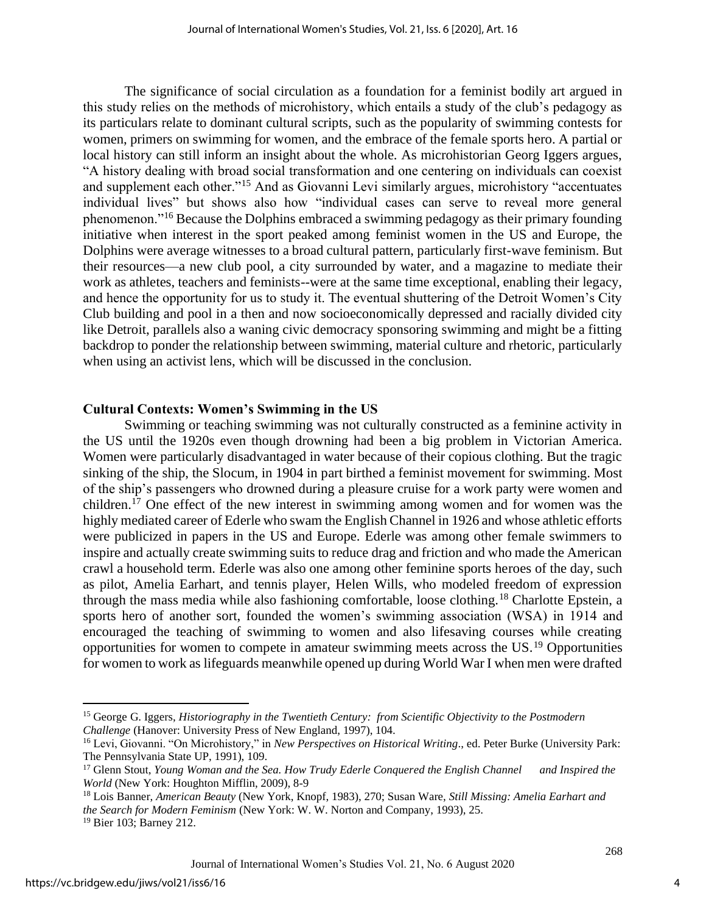The significance of social circulation as a foundation for a feminist bodily art argued in this study relies on the methods of microhistory, which entails a study of the club's pedagogy as its particulars relate to dominant cultural scripts, such as the popularity of swimming contests for women, primers on swimming for women, and the embrace of the female sports hero. A partial or local history can still inform an insight about the whole. As microhistorian Georg Iggers argues, "A history dealing with broad social transformation and one centering on individuals can coexist and supplement each other."<sup>15</sup> And as Giovanni Levi similarly argues, microhistory "accentuates individual lives" but shows also how "individual cases can serve to reveal more general phenomenon."<sup>16</sup> Because the Dolphins embraced a swimming pedagogy as their primary founding initiative when interest in the sport peaked among feminist women in the US and Europe, the Dolphins were average witnesses to a broad cultural pattern, particularly first-wave feminism. But their resources—a new club pool, a city surrounded by water, and a magazine to mediate their work as athletes, teachers and feminists--were at the same time exceptional, enabling their legacy, and hence the opportunity for us to study it. The eventual shuttering of the Detroit Women's City Club building and pool in a then and now socioeconomically depressed and racially divided city like Detroit, parallels also a waning civic democracy sponsoring swimming and might be a fitting backdrop to ponder the relationship between swimming, material culture and rhetoric, particularly when using an activist lens, which will be discussed in the conclusion.

#### **Cultural Contexts: Women's Swimming in the US**

Swimming or teaching swimming was not culturally constructed as a feminine activity in the US until the 1920s even though drowning had been a big problem in Victorian America. Women were particularly disadvantaged in water because of their copious clothing. But the tragic sinking of the ship, the Slocum, in 1904 in part birthed a feminist movement for swimming. Most of the ship's passengers who drowned during a pleasure cruise for a work party were women and children.<sup>17</sup> One effect of the new interest in swimming among women and for women was the highly mediated career of Ederle who swam the English Channel in 1926 and whose athletic efforts were publicized in papers in the US and Europe. Ederle was among other female swimmers to inspire and actually create swimming suits to reduce drag and friction and who made the American crawl a household term. Ederle was also one among other feminine sports heroes of the day, such as pilot, Amelia Earhart, and tennis player, Helen Wills, who modeled freedom of expression through the mass media while also fashioning comfortable, loose clothing.<sup>18</sup> Charlotte Epstein, a sports hero of another sort, founded the women's swimming association (WSA) in 1914 and encouraged the teaching of swimming to women and also lifesaving courses while creating opportunities for women to compete in amateur swimming meets across the US.<sup>19</sup> Opportunities for women to work as lifeguards meanwhile opened up during World War I when men were drafted

<sup>15</sup> George G. Iggers, *Historiography in the Twentieth Century: from Scientific Objectivity to the Postmodern Challenge* (Hanover: University Press of New England, 1997), 104.

<sup>16</sup> Levi, Giovanni. "On Microhistory," in *New Perspectives on Historical Writing*., ed. Peter Burke (University Park: The Pennsylvania State UP, 1991), 109.

<sup>17</sup> Glenn Stout, *Young Woman and the Sea. How Trudy Ederle Conquered the English Channel and Inspired the World* (New York: Houghton Mifflin, 2009), 8-9

<sup>18</sup> Lois Banner, *American Beauty* (New York, Knopf, 1983), 270; Susan Ware, *Still Missing: Amelia Earhart and the Search for Modern Feminism* (New York: W. W. Norton and Company, 1993), 25. <sup>19</sup> Bier 103; Barney 212.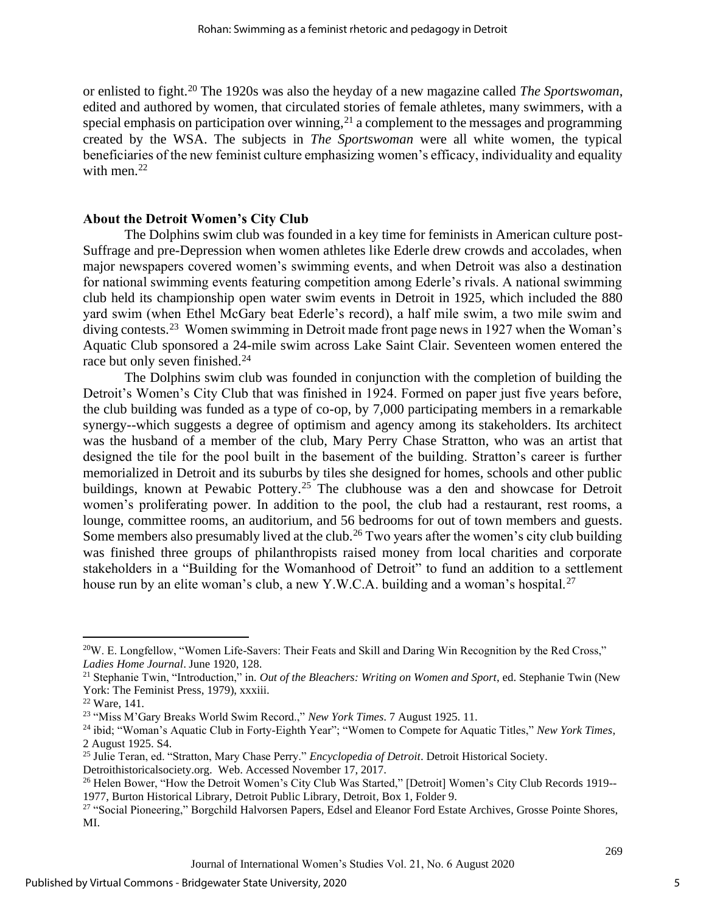or enlisted to fight.<sup>20</sup> The 1920s was also the heyday of a new magazine called *The Sportswoman*, edited and authored by women, that circulated stories of female athletes, many swimmers, with a special emphasis on participation over winning,  $2<sup>1</sup>$  a complement to the messages and programming created by the WSA. The subjects in *The Sportswoman* were all white women, the typical beneficiaries of the new feminist culture emphasizing women's efficacy, individuality and equality with men.<sup>22</sup>

#### **About the Detroit Women's City Club**

The Dolphins swim club was founded in a key time for feminists in American culture post-Suffrage and pre-Depression when women athletes like Ederle drew crowds and accolades, when major newspapers covered women's swimming events, and when Detroit was also a destination for national swimming events featuring competition among Ederle's rivals. A national swimming club held its championship open water swim events in Detroit in 1925, which included the 880 yard swim (when Ethel McGary beat Ederle's record), a half mile swim, a two mile swim and diving contests.<sup>23</sup> Women swimming in Detroit made front page news in 1927 when the Woman's Aquatic Club sponsored a 24-mile swim across Lake Saint Clair. Seventeen women entered the race but only seven finished.<sup>24</sup>

The Dolphins swim club was founded in conjunction with the completion of building the Detroit's Women's City Club that was finished in 1924. Formed on paper just five years before, the club building was funded as a type of co-op, by 7,000 participating members in a remarkable synergy--which suggests a degree of optimism and agency among its stakeholders. Its architect was the husband of a member of the club, Mary Perry Chase Stratton, who was an artist that designed the tile for the pool built in the basement of the building. Stratton's career is further memorialized in Detroit and its suburbs by tiles she designed for homes, schools and other public buildings, known at Pewabic Pottery.<sup>25</sup> The clubhouse was a den and showcase for Detroit women's proliferating power. In addition to the pool, the club had a restaurant, rest rooms, a lounge, committee rooms, an auditorium, and 56 bedrooms for out of town members and guests. Some members also presumably lived at the club.<sup>26</sup> Two years after the women's city club building was finished three groups of philanthropists raised money from local charities and corporate stakeholders in a "Building for the Womanhood of Detroit" to fund an addition to a settlement house run by an elite woman's club, a new Y.W.C.A. building and a woman's hospital.<sup>27</sup>

<sup>&</sup>lt;sup>20</sup>W. E. Longfellow, "Women Life-Savers: Their Feats and Skill and Daring Win Recognition by the Red Cross," *Ladies Home Journal*. June 1920, 128.

<sup>21</sup> Stephanie Twin, "Introduction," in*. Out of the Bleachers: Writing on Women and Sport*, ed. Stephanie Twin (New York: The Feminist Press, 1979), xxxiii.

<sup>22</sup> Ware, 141.

<sup>23</sup> "Miss M'Gary Breaks World Swim Record.," *New York Times*. 7 August 1925. 11.

<sup>24</sup> ibid; "Woman's Aquatic Club in Forty-Eighth Year"; "Women to Compete for Aquatic Titles," *New York Times*, 2 August 1925. S4.

<sup>25</sup> Julie Teran, ed. "Stratton, Mary Chase Perry." *Encyclopedia of Detroit*. Detroit Historical Society.

Detroithistoricalsociety.org. Web. Accessed November 17, 2017.

<sup>&</sup>lt;sup>26</sup> Helen Bower, "How the Detroit Women's City Club Was Started," [Detroit] Women's City Club Records 1919--1977, Burton Historical Library, Detroit Public Library, Detroit, Box 1, Folder 9.

<sup>&</sup>lt;sup>27</sup> "Social Pioneering," Borgchild Halvorsen Papers, Edsel and Eleanor Ford Estate Archives, Grosse Pointe Shores, MI.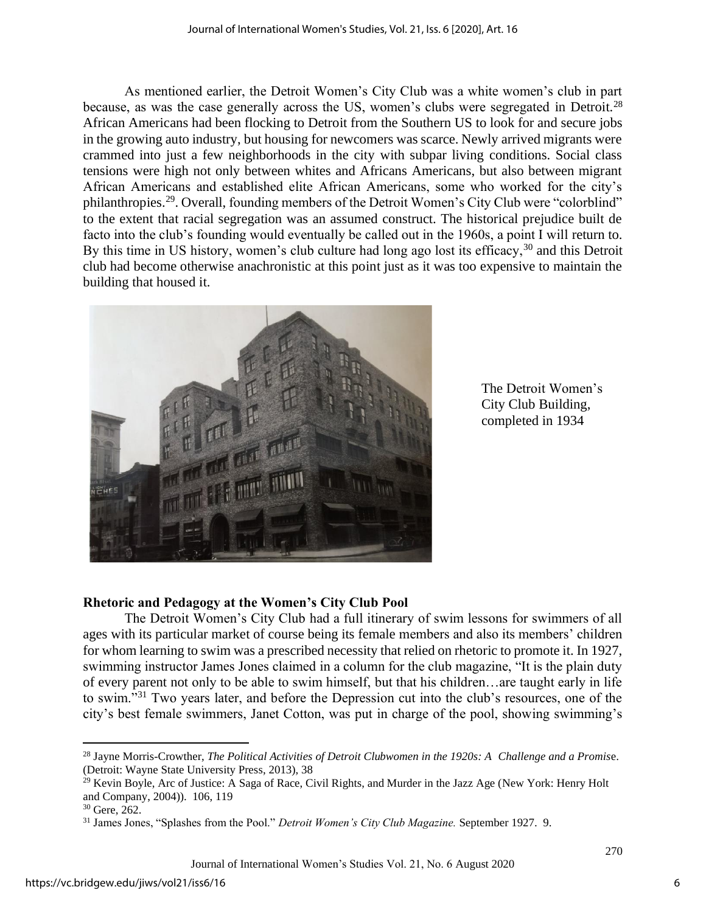As mentioned earlier, the Detroit Women's City Club was a white women's club in part because, as was the case generally across the US, women's clubs were segregated in Detroit.<sup>28</sup> African Americans had been flocking to Detroit from the Southern US to look for and secure jobs in the growing auto industry, but housing for newcomers was scarce. Newly arrived migrants were crammed into just a few neighborhoods in the city with subpar living conditions. Social class tensions were high not only between whites and Africans Americans, but also between migrant African Americans and established elite African Americans, some who worked for the city's philanthropies.<sup>29</sup>. Overall, founding members of the Detroit Women's City Club were "colorblind" to the extent that racial segregation was an assumed construct. The historical prejudice built de facto into the club's founding would eventually be called out in the 1960s, a point I will return to. By this time in US history, women's club culture had long ago lost its efficacy,<sup>30</sup> and this Detroit club had become otherwise anachronistic at this point just as it was too expensive to maintain the building that housed it.



The Detroit Women's City Club Building, completed in 1934

### **Rhetoric and Pedagogy at the Women's City Club Pool**

The Detroit Women's City Club had a full itinerary of swim lessons for swimmers of all ages with its particular market of course being its female members and also its members' children for whom learning to swim was a prescribed necessity that relied on rhetoric to promote it. In 1927, swimming instructor James Jones claimed in a column for the club magazine, "It is the plain duty of every parent not only to be able to swim himself, but that his children…are taught early in life to swim."<sup>31</sup> Two years later, and before the Depression cut into the club's resources, one of the city's best female swimmers, Janet Cotton, was put in charge of the pool, showing swimming's

<sup>28</sup> Jayne Morris-Crowther, *The Political Activities of Detroit Clubwomen in the 1920s: A Challenge and a Promis*e. (Detroit: Wayne State University Press, 2013), 38

 $29$  Kevin Boyle, Arc of Justice: A Saga of Race, Civil Rights, and Murder in the Jazz Age (New York: Henry Holt and Company, 2004)). 106, 119

<sup>30</sup> Gere, 262.

<sup>31</sup> James Jones, "Splashes from the Pool." *Detroit Women's City Club Magazine.* September 1927. 9.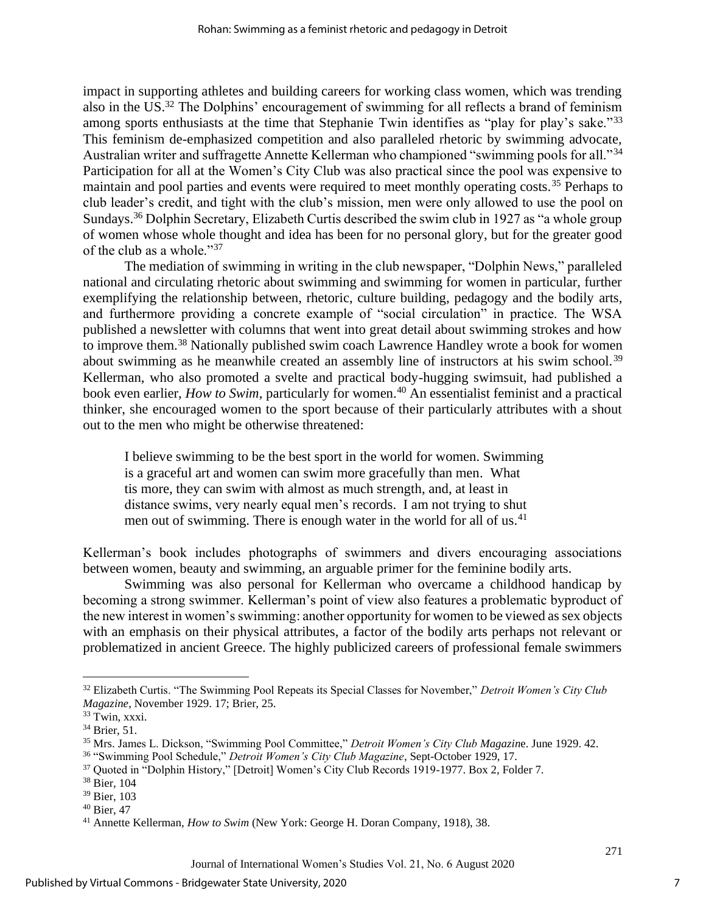impact in supporting athletes and building careers for working class women, which was trending also in the US.<sup>32</sup> The Dolphins' encouragement of swimming for all reflects a brand of feminism among sports enthusiasts at the time that Stephanie Twin identifies as "play for play's sake."<sup>33</sup> This feminism de-emphasized competition and also paralleled rhetoric by swimming advocate, Australian writer and suffragette Annette Kellerman who championed "swimming pools for all."<sup>34</sup> Participation for all at the Women's City Club was also practical since the pool was expensive to maintain and pool parties and events were required to meet monthly operating costs.<sup>35</sup> Perhaps to club leader's credit, and tight with the club's mission, men were only allowed to use the pool on Sundays.<sup>36</sup> Dolphin Secretary, Elizabeth Curtis described the swim club in 1927 as "a whole group of women whose whole thought and idea has been for no personal glory, but for the greater good of the club as a whole."<sup>37</sup>

The mediation of swimming in writing in the club newspaper, "Dolphin News," paralleled national and circulating rhetoric about swimming and swimming for women in particular, further exemplifying the relationship between, rhetoric, culture building, pedagogy and the bodily arts, and furthermore providing a concrete example of "social circulation" in practice. The WSA published a newsletter with columns that went into great detail about swimming strokes and how to improve them.<sup>38</sup> Nationally published swim coach Lawrence Handley wrote a book for women about swimming as he meanwhile created an assembly line of instructors at his swim school.<sup>39</sup> Kellerman, who also promoted a svelte and practical body-hugging swimsuit, had published a book even earlier, *How to Swim*, particularly for women.<sup>40</sup> An essentialist feminist and a practical thinker, she encouraged women to the sport because of their particularly attributes with a shout out to the men who might be otherwise threatened:

I believe swimming to be the best sport in the world for women. Swimming is a graceful art and women can swim more gracefully than men. What tis more, they can swim with almost as much strength, and, at least in distance swims, very nearly equal men's records. I am not trying to shut men out of swimming. There is enough water in the world for all of us. $41$ 

Kellerman's book includes photographs of swimmers and divers encouraging associations between women, beauty and swimming, an arguable primer for the feminine bodily arts.

Swimming was also personal for Kellerman who overcame a childhood handicap by becoming a strong swimmer. Kellerman's point of view also features a problematic byproduct of the new interest in women's swimming: another opportunity for women to be viewed as sex objects with an emphasis on their physical attributes, a factor of the bodily arts perhaps not relevant or problematized in ancient Greece. The highly publicized careers of professional female swimmers

<sup>32</sup> Elizabeth Curtis. "The Swimming Pool Repeats its Special Classes for November," *Detroit Women's City Club Magazine*, November 1929. 17; Brier, 25.

<sup>33</sup> Twin, xxxi.

<sup>34</sup> Brier, 51.

<sup>35</sup> Mrs. James L. Dickson, "Swimming Pool Committee," *Detroit Women's City Club Magazin*e. June 1929. 42.

<sup>36</sup> "Swimming Pool Schedule," *Detroit Women's City Club Magazine*, Sept-October 1929, 17.

<sup>37</sup> Quoted in "Dolphin History," [Detroit] Women's City Club Records 1919-1977. Box 2, Folder 7.

<sup>38</sup> Bier, 104

<sup>39</sup> Bier, 103

<sup>40</sup> Bier, 47

<sup>41</sup> Annette Kellerman, *How to Swim* (New York: George H. Doran Company, 1918), 38.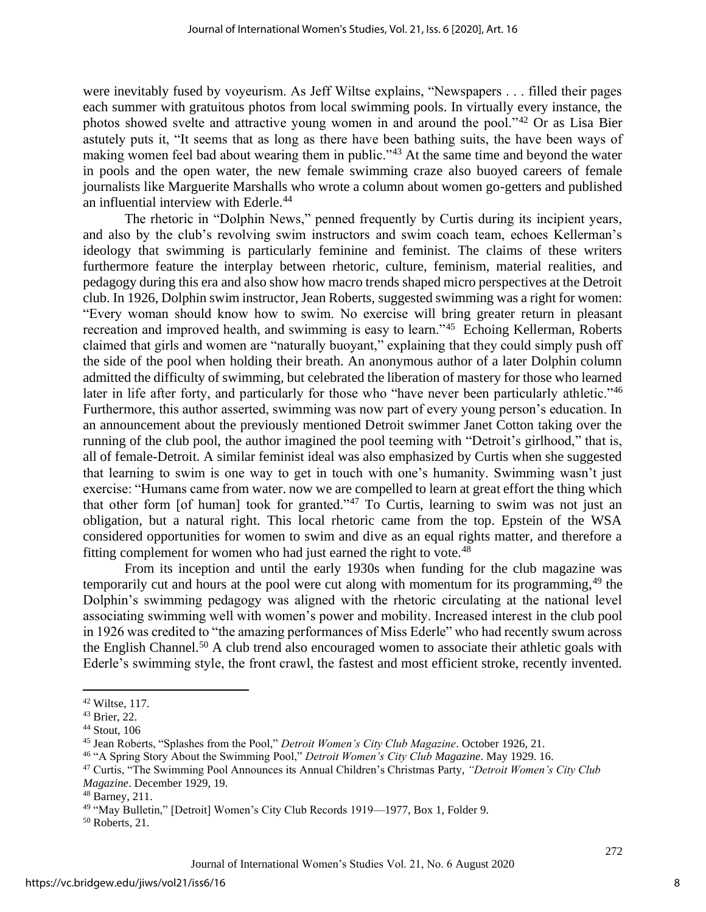were inevitably fused by voyeurism. As Jeff Wiltse explains, "Newspapers . . . filled their pages each summer with gratuitous photos from local swimming pools. In virtually every instance, the photos showed svelte and attractive young women in and around the pool."<sup>42</sup> Or as Lisa Bier astutely puts it, "It seems that as long as there have been bathing suits, the have been ways of making women feel bad about wearing them in public."<sup>43</sup> At the same time and beyond the water in pools and the open water, the new female swimming craze also buoyed careers of female journalists like Marguerite Marshalls who wrote a column about women go-getters and published an influential interview with Ederle.<sup>44</sup>

The rhetoric in "Dolphin News," penned frequently by Curtis during its incipient years, and also by the club's revolving swim instructors and swim coach team, echoes Kellerman's ideology that swimming is particularly feminine and feminist. The claims of these writers furthermore feature the interplay between rhetoric, culture, feminism, material realities, and pedagogy during this era and also show how macro trends shaped micro perspectives at the Detroit club. In 1926, Dolphin swim instructor, Jean Roberts, suggested swimming was a right for women: "Every woman should know how to swim. No exercise will bring greater return in pleasant recreation and improved health, and swimming is easy to learn."<sup>45</sup> Echoing Kellerman, Roberts claimed that girls and women are "naturally buoyant," explaining that they could simply push off the side of the pool when holding their breath. An anonymous author of a later Dolphin column admitted the difficulty of swimming, but celebrated the liberation of mastery for those who learned later in life after forty, and particularly for those who "have never been particularly athletic."<sup>46</sup> Furthermore, this author asserted, swimming was now part of every young person's education. In an announcement about the previously mentioned Detroit swimmer Janet Cotton taking over the running of the club pool, the author imagined the pool teeming with "Detroit's girlhood," that is, all of female-Detroit. A similar feminist ideal was also emphasized by Curtis when she suggested that learning to swim is one way to get in touch with one's humanity. Swimming wasn't just exercise: "Humans came from water. now we are compelled to learn at great effort the thing which that other form [of human] took for granted."<sup>47</sup> To Curtis, learning to swim was not just an obligation, but a natural right. This local rhetoric came from the top. Epstein of the WSA considered opportunities for women to swim and dive as an equal rights matter, and therefore a fitting complement for women who had just earned the right to vote.<sup>48</sup>

From its inception and until the early 1930s when funding for the club magazine was temporarily cut and hours at the pool were cut along with momentum for its programming,  $49$  the Dolphin's swimming pedagogy was aligned with the rhetoric circulating at the national level associating swimming well with women's power and mobility. Increased interest in the club pool in 1926 was credited to "the amazing performances of Miss Ederle" who had recently swum across the English Channel.<sup>50</sup> A club trend also encouraged women to associate their athletic goals with Ederle's swimming style, the front crawl, the fastest and most efficient stroke, recently invented.

 $42$  Wiltse, 117.

<sup>43</sup> Brier, 22.

<sup>44</sup> Stout, 106

<sup>45</sup> Jean Roberts, "Splashes from the Pool," *Detroit Women's City Club Magazine*. October 1926, 21.

<sup>46</sup> "A Spring Story About the Swimming Pool," *Detroit Women's City Club Magazine*. May 1929. 16.

<sup>47</sup> Curtis, "The Swimming Pool Announces its Annual Children's Christmas Party, *"Detroit Women's City Club Magazine*. December 1929, 19.

<sup>48</sup> Barney, 211.

<sup>49</sup> "May Bulletin," [Detroit] Women's City Club Records 1919—1977, Box 1, Folder 9.

<sup>50</sup> Roberts, 21.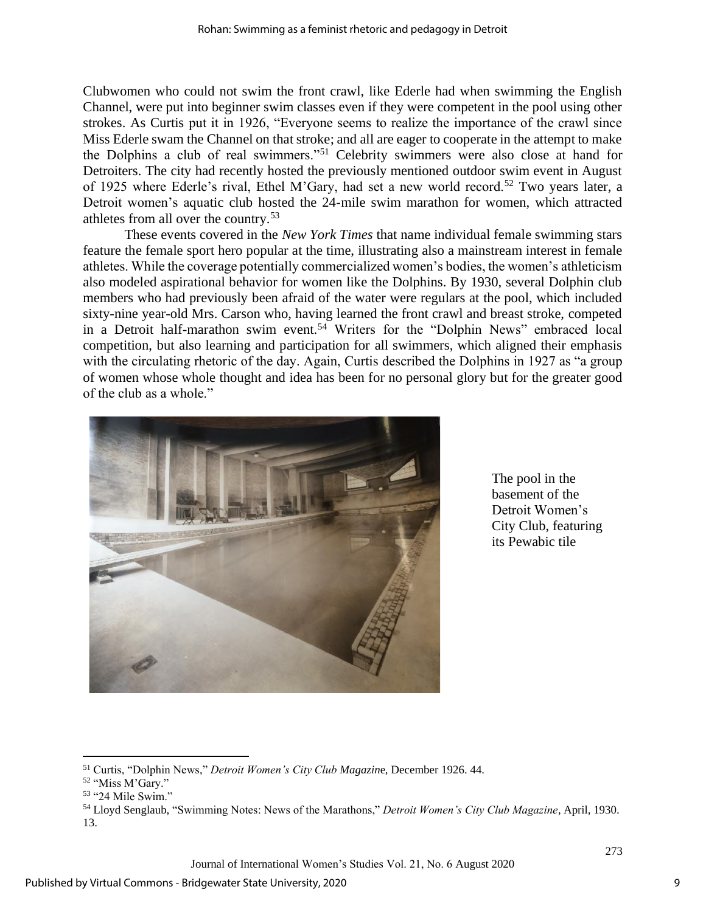Clubwomen who could not swim the front crawl, like Ederle had when swimming the English Channel, were put into beginner swim classes even if they were competent in the pool using other strokes. As Curtis put it in 1926, "Everyone seems to realize the importance of the crawl since Miss Ederle swam the Channel on that stroke; and all are eager to cooperate in the attempt to make the Dolphins a club of real swimmers."<sup>51</sup> Celebrity swimmers were also close at hand for Detroiters. The city had recently hosted the previously mentioned outdoor swim event in August of 1925 where Ederle's rival, Ethel M'Gary, had set a new world record.<sup>52</sup> Two years later, a Detroit women's aquatic club hosted the 24-mile swim marathon for women, which attracted athletes from all over the country.<sup>53</sup>

These events covered in the *New York Times* that name individual female swimming stars feature the female sport hero popular at the time, illustrating also a mainstream interest in female athletes. While the coverage potentially commercialized women's bodies, the women's athleticism also modeled aspirational behavior for women like the Dolphins. By 1930, several Dolphin club members who had previously been afraid of the water were regulars at the pool, which included sixty-nine year-old Mrs. Carson who, having learned the front crawl and breast stroke, competed in a Detroit half-marathon swim event.<sup>54</sup> Writers for the "Dolphin News" embraced local competition, but also learning and participation for all swimmers, which aligned their emphasis with the circulating rhetoric of the day. Again, Curtis described the Dolphins in 1927 as "a group of women whose whole thought and idea has been for no personal glory but for the greater good of the club as a whole."



The pool in the basement of the Detroit Women's City Club, featuring its Pewabic tile

<sup>51</sup> Curtis, "Dolphin News," *Detroit Women's City Club Magazin*e, December 1926. 44.

<sup>52</sup> "Miss M'Gary."

<sup>53</sup> "24 Mile Swim."

<sup>54</sup> Lloyd Senglaub, "Swimming Notes: News of the Marathons," *Detroit Women's City Club Magazine*, April, 1930. 13.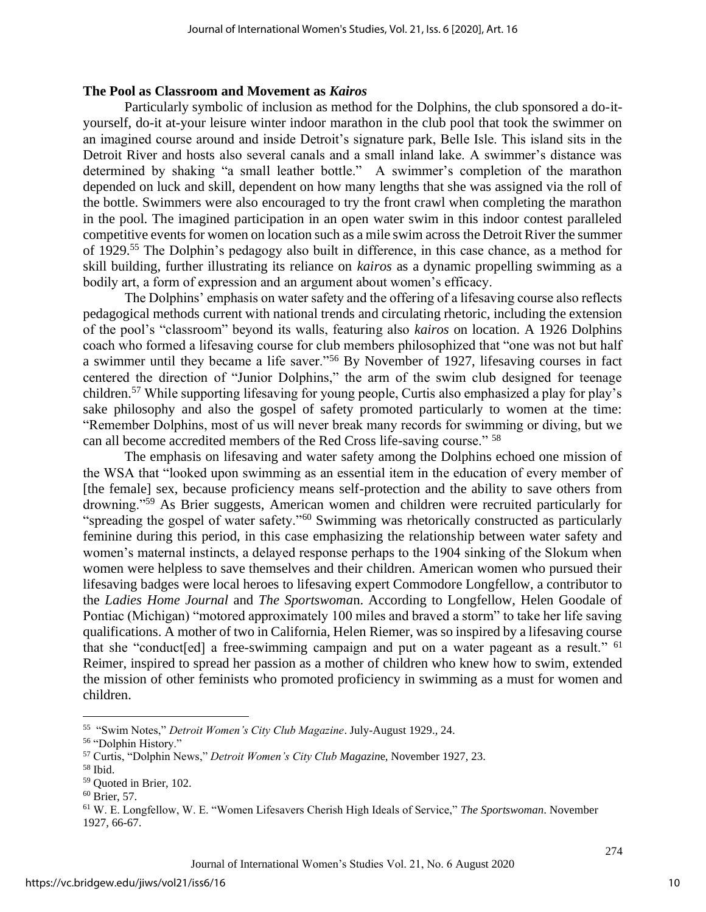#### **The Pool as Classroom and Movement as** *Kairos*

Particularly symbolic of inclusion as method for the Dolphins, the club sponsored a do-ityourself, do-it at-your leisure winter indoor marathon in the club pool that took the swimmer on an imagined course around and inside Detroit's signature park, Belle Isle. This island sits in the Detroit River and hosts also several canals and a small inland lake. A swimmer's distance was determined by shaking "a small leather bottle." A swimmer's completion of the marathon depended on luck and skill, dependent on how many lengths that she was assigned via the roll of the bottle. Swimmers were also encouraged to try the front crawl when completing the marathon in the pool. The imagined participation in an open water swim in this indoor contest paralleled competitive events for women on location such as a mile swim across the Detroit River the summer of 1929.<sup>55</sup> The Dolphin's pedagogy also built in difference, in this case chance, as a method for skill building, further illustrating its reliance on *kairos* as a dynamic propelling swimming as a bodily art, a form of expression and an argument about women's efficacy.

The Dolphins' emphasis on water safety and the offering of a lifesaving course also reflects pedagogical methods current with national trends and circulating rhetoric, including the extension of the pool's "classroom" beyond its walls, featuring also *kairos* on location. A 1926 Dolphins coach who formed a lifesaving course for club members philosophized that "one was not but half a swimmer until they became a life saver."<sup>56</sup> By November of 1927, lifesaving courses in fact centered the direction of "Junior Dolphins," the arm of the swim club designed for teenage children.<sup>57</sup> While supporting lifesaving for young people, Curtis also emphasized a play for play's sake philosophy and also the gospel of safety promoted particularly to women at the time: "Remember Dolphins, most of us will never break many records for swimming or diving, but we can all become accredited members of the Red Cross life-saving course." <sup>58</sup>

The emphasis on lifesaving and water safety among the Dolphins echoed one mission of the WSA that "looked upon swimming as an essential item in the education of every member of [the female] sex, because proficiency means self-protection and the ability to save others from drowning."<sup>59</sup> As Brier suggests, American women and children were recruited particularly for "spreading the gospel of water safety."<sup>60</sup> Swimming was rhetorically constructed as particularly feminine during this period, in this case emphasizing the relationship between water safety and women's maternal instincts, a delayed response perhaps to the 1904 sinking of the Slokum when women were helpless to save themselves and their children. American women who pursued their lifesaving badges were local heroes to lifesaving expert Commodore Longfellow, a contributor to the *Ladies Home Journal* and *The Sportswoma*n. According to Longfellow, Helen Goodale of Pontiac (Michigan) "motored approximately 100 miles and braved a storm" to take her life saving qualifications. A mother of two in California, Helen Riemer, was so inspired by a lifesaving course that she "conduct[ed] a free-swimming campaign and put on a water pageant as a result." <sup>61</sup> Reimer, inspired to spread her passion as a mother of children who knew how to swim, extended the mission of other feminists who promoted proficiency in swimming as a must for women and children.

<sup>55</sup> "Swim Notes," *Detroit Women's City Club Magazine*. July-August 1929., 24.

<sup>56</sup> "Dolphin History."

<sup>57</sup> Curtis, "Dolphin News," *Detroit Women's City Club Magazin*e, November 1927, 23.

<sup>58</sup> Ibid.

<sup>59</sup> Quoted in Brier, 102.

<sup>60</sup> Brier, 57.

<sup>61</sup> W. E. Longfellow, W. E. "Women Lifesavers Cherish High Ideals of Service," *The Sportswoman*. November 1927, 66-67.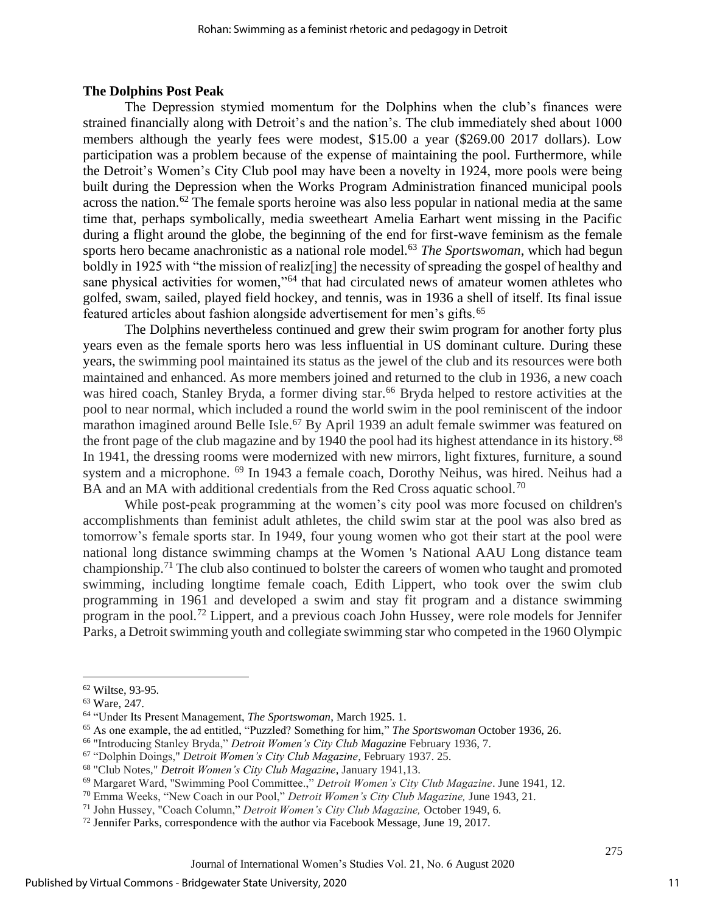#### **The Dolphins Post Peak**

The Depression stymied momentum for the Dolphins when the club's finances were strained financially along with Detroit's and the nation's. The club immediately shed about 1000 members although the yearly fees were modest, \$15.00 a year (\$269.00 2017 dollars). Low participation was a problem because of the expense of maintaining the pool. Furthermore, while the Detroit's Women's City Club pool may have been a novelty in 1924, more pools were being built during the Depression when the Works Program Administration financed municipal pools across the nation.<sup>62</sup> The female sports heroine was also less popular in national media at the same time that, perhaps symbolically, media sweetheart Amelia Earhart went missing in the Pacific during a flight around the globe, the beginning of the end for first-wave feminism as the female sports hero became anachronistic as a national role model.<sup>63</sup> *The Sportswoman*, which had begun boldly in 1925 with "the mission of realizening] the necessity of spreading the gospel of healthy and sane physical activities for women,"<sup>64</sup> that had circulated news of amateur women athletes who golfed, swam, sailed, played field hockey, and tennis, was in 1936 a shell of itself. Its final issue featured articles about fashion alongside advertisement for men's gifts.<sup>65</sup>

The Dolphins nevertheless continued and grew their swim program for another forty plus years even as the female sports hero was less influential in US dominant culture. During these years, the swimming pool maintained its status as the jewel of the club and its resources were both maintained and enhanced. As more members joined and returned to the club in 1936, a new coach was hired coach, Stanley Bryda, a former diving star.<sup>66</sup> Bryda helped to restore activities at the pool to near normal, which included a round the world swim in the pool reminiscent of the indoor marathon imagined around Belle Isle.<sup>67</sup> By April 1939 an adult female swimmer was featured on the front page of the club magazine and by 1940 the pool had its highest attendance in its history.<sup>68</sup> In 1941, the dressing rooms were modernized with new mirrors, light fixtures, furniture, a sound system and a microphone. <sup>69</sup> In 1943 a female coach, Dorothy Neihus, was hired. Neihus had a BA and an MA with additional credentials from the Red Cross aquatic school.<sup>70</sup>

While post-peak programming at the women's city pool was more focused on children's accomplishments than feminist adult athletes, the child swim star at the pool was also bred as tomorrow's female sports star. In 1949, four young women who got their start at the pool were national long distance swimming champs at the Women 's National AAU Long distance team championship.<sup>71</sup> The club also continued to bolster the careers of women who taught and promoted swimming, including longtime female coach, Edith Lippert, who took over the swim club programming in 1961 and developed a swim and stay fit program and a distance swimming program in the pool.<sup>72</sup> Lippert, and a previous coach John Hussey, were role models for Jennifer Parks, a Detroit swimming youth and collegiate swimming star who competed in the 1960 Olympic

<sup>62</sup> Wiltse, 93-95.

<sup>63</sup> Ware, 247.

<sup>64</sup> "Under Its Present Management, *The Sportswoman*, March 1925. 1.

<sup>65</sup> As one example, the ad entitled, "Puzzled? Something for him," *The Sportswoman* October 1936, 26.

<sup>66</sup> "Introducing Stanley Bryda," *Detroit Women's City Club Magazin*e February 1936, 7.

<sup>67</sup> "Dolphin Doings," *Detroit Women's City Club Magazine*, February 1937. 25.

<sup>68</sup> "Club Notes," *Detroit Women's City Club Magazine*, January 1941,13.

<sup>69</sup> Margaret Ward, "Swimming Pool Committee.," *Detroit Women's City Club Magazine*. June 1941, 12.

<sup>70</sup> Emma Weeks, "New Coach in our Pool," *Detroit Women's City Club Magazine,* June 1943, 21.

<sup>71</sup> John Hussey, "Coach Column," *Detroit Women's City Club Magazine,* October 1949, 6.

<sup>72</sup> Jennifer Parks, correspondence with the author via Facebook Message, June 19, 2017.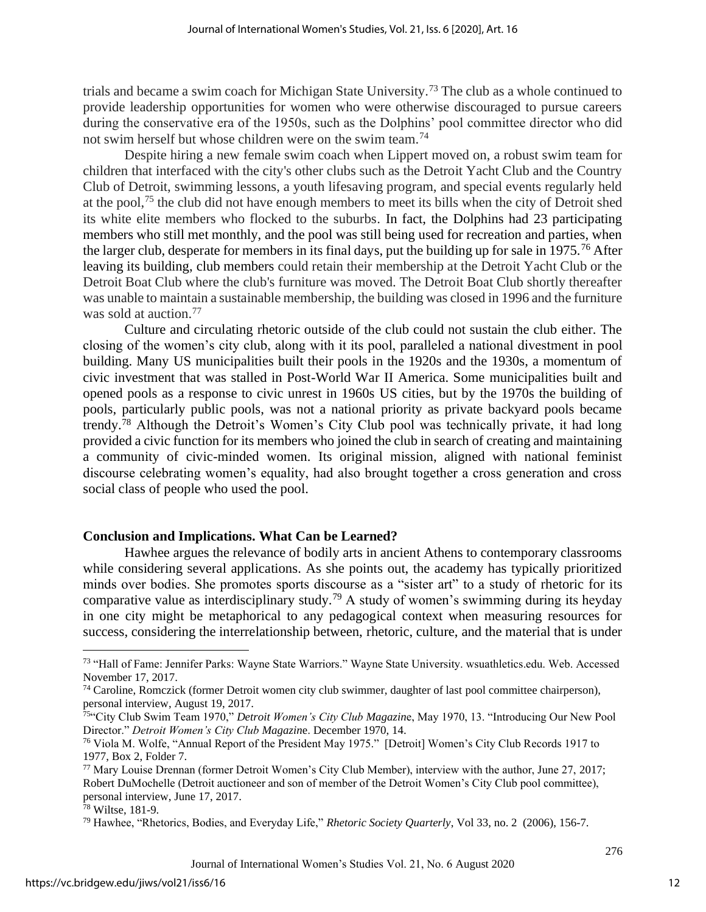trials and became a swim coach for Michigan State University.<sup>73</sup> The club as a whole continued to provide leadership opportunities for women who were otherwise discouraged to pursue careers during the conservative era of the 1950s, such as the Dolphins' pool committee director who did not swim herself but whose children were on the swim team.<sup>74</sup>

Despite hiring a new female swim coach when Lippert moved on, a robust swim team for children that interfaced with the city's other clubs such as the Detroit Yacht Club and the Country Club of Detroit, swimming lessons, a youth lifesaving program, and special events regularly held at the pool,<sup>75</sup> the club did not have enough members to meet its bills when the city of Detroit shed its white elite members who flocked to the suburbs. In fact, the Dolphins had 23 participating members who still met monthly, and the pool was still being used for recreation and parties, when the larger club, desperate for members in its final days, put the building up for sale in 1975.<sup>76</sup> After leaving its building, club members could retain their membership at the Detroit Yacht Club or the Detroit Boat Club where the club's furniture was moved. The Detroit Boat Club shortly thereafter was unable to maintain a sustainable membership, the building was closed in 1996 and the furniture was sold at auction.<sup>77</sup>

Culture and circulating rhetoric outside of the club could not sustain the club either. The closing of the women's city club, along with it its pool, paralleled a national divestment in pool building. Many US municipalities built their pools in the 1920s and the 1930s, a momentum of civic investment that was stalled in Post-World War II America. Some municipalities built and opened pools as a response to civic unrest in 1960s US cities, but by the 1970s the building of pools, particularly public pools, was not a national priority as private backyard pools became trendy.<sup>78</sup> Although the Detroit's Women's City Club pool was technically private, it had long provided a civic function for its members who joined the club in search of creating and maintaining a community of civic-minded women. Its original mission, aligned with national feminist discourse celebrating women's equality, had also brought together a cross generation and cross social class of people who used the pool.

#### **Conclusion and Implications. What Can be Learned?**

Hawhee argues the relevance of bodily arts in ancient Athens to contemporary classrooms while considering several applications. As she points out, the academy has typically prioritized minds over bodies. She promotes sports discourse as a "sister art" to a study of rhetoric for its comparative value as interdisciplinary study.<sup>79</sup> A study of women's swimming during its heyday in one city might be metaphorical to any pedagogical context when measuring resources for success, considering the interrelationship between, rhetoric, culture, and the material that is under

<sup>73</sup> "Hall of Fame: Jennifer Parks: Wayne State Warriors." Wayne State University. wsuathletics.edu. Web. Accessed November 17, 2017.

<sup>74</sup> Caroline, Romczick (former Detroit women city club swimmer, daughter of last pool committee chairperson), personal interview, August 19, 2017.

<sup>75</sup>"City Club Swim Team 1970," *Detroit Women's City Club Magazin*e, May 1970, 13. "Introducing Our New Pool Director." *Detroit Women's City Club Magazin*e. December 1970, 14.

<sup>76</sup> Viola M. Wolfe, "Annual Report of the President May 1975." [Detroit] Women's City Club Records 1917 to 1977, Box 2, Folder 7.

<sup>77</sup> Mary Louise Drennan (former Detroit Women's City Club Member), interview with the author, June 27, 2017; Robert DuMochelle (Detroit auctioneer and son of member of the Detroit Women's City Club pool committee), personal interview, June 17, 2017.

<sup>78</sup> Wiltse, 181-9.

<sup>79</sup> Hawhee, "Rhetorics, Bodies, and Everyday Life," *Rhetoric Society Quarterly*, Vol 33, no. 2 (2006), 156-7.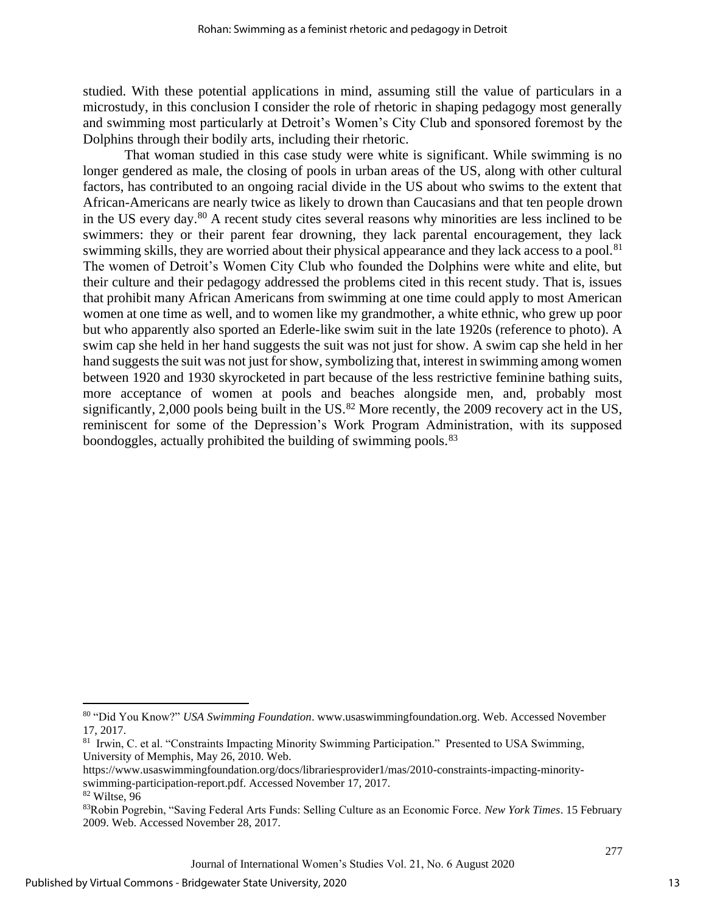studied. With these potential applications in mind, assuming still the value of particulars in a microstudy, in this conclusion I consider the role of rhetoric in shaping pedagogy most generally and swimming most particularly at Detroit's Women's City Club and sponsored foremost by the Dolphins through their bodily arts, including their rhetoric.

That woman studied in this case study were white is significant. While swimming is no longer gendered as male, the closing of pools in urban areas of the US, along with other cultural factors, has contributed to an ongoing racial divide in the US about who swims to the extent that African-Americans are nearly twice as likely to drown than Caucasians and that ten people drown in the US every day.<sup>80</sup> A recent study cites several reasons why minorities are less inclined to be swimmers: they or their parent fear drowning, they lack parental encouragement, they lack swimming skills, they are worried about their physical appearance and they lack access to a pool.<sup>81</sup> The women of Detroit's Women City Club who founded the Dolphins were white and elite, but their culture and their pedagogy addressed the problems cited in this recent study. That is, issues that prohibit many African Americans from swimming at one time could apply to most American women at one time as well, and to women like my grandmother, a white ethnic, who grew up poor but who apparently also sported an Ederle-like swim suit in the late 1920s (reference to photo). A swim cap she held in her hand suggests the suit was not just for show. A swim cap she held in her hand suggests the suit was not just for show, symbolizing that, interest in swimming among women between 1920 and 1930 skyrocketed in part because of the less restrictive feminine bathing suits, more acceptance of women at pools and beaches alongside men, and, probably most significantly, 2,000 pools being built in the US. $^{82}$  More recently, the 2009 recovery act in the US, reminiscent for some of the Depression's Work Program Administration, with its supposed boondoggles, actually prohibited the building of swimming pools.<sup>83</sup>

<sup>80</sup> "Did You Know?" *USA Swimming Foundation*. [www.usaswimmingfoundation.org.](http://www.usaswimmingfoundation.org/) Web. Accessed November 17, 2017.

<sup>&</sup>lt;sup>81</sup> Irwin, C. et al. "Constraints Impacting Minority Swimming Participation." Presented to USA Swimming, University of Memphis, May 26, 2010. Web.

[https://www.usaswimmingfoundation.org/docs/librariesprovider1/mas/2010-constraints-i](https://www.usaswimmingfoundation.org/docs/librariesprovider1/mas/2010-constraints-)mpacting-minorityswimming-participation-report.pdf. Accessed November 17, 2017. <sup>82</sup> Wiltse, 96

<sup>83</sup>Robin Pogrebin, "Saving Federal Arts Funds: Selling Culture as an Economic Force. *New York Times*. 15 February 2009. Web. Accessed November 28, 2017.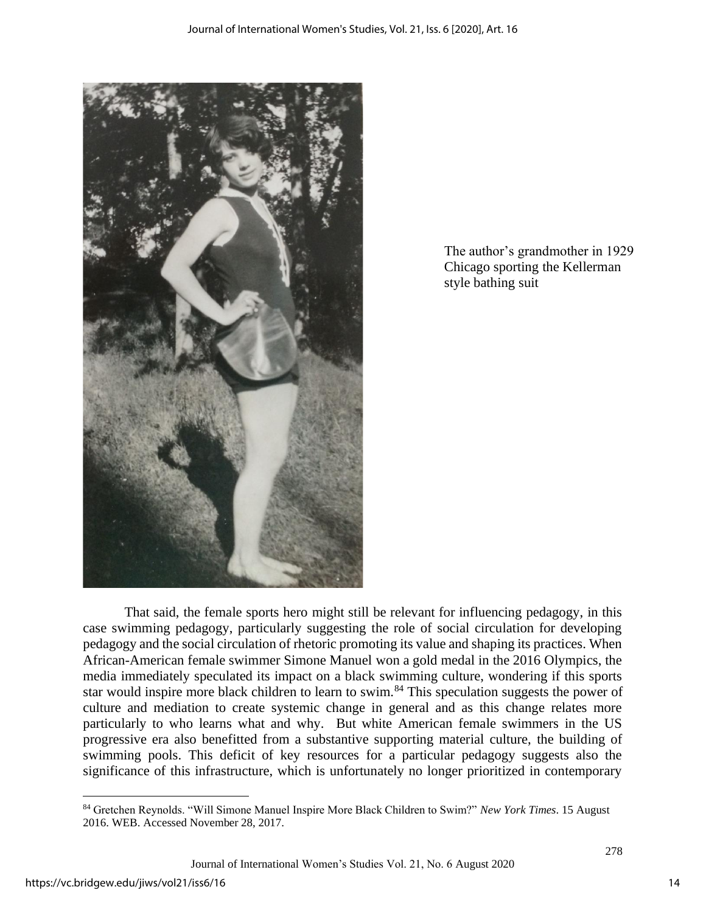

The author's grandmother in 1929 Chicago sporting the Kellerman style bathing suit

That said, the female sports hero might still be relevant for influencing pedagogy, in this case swimming pedagogy, particularly suggesting the role of social circulation for developing pedagogy and the social circulation of rhetoric promoting its value and shaping its practices. When African-American female swimmer Simone Manuel won a gold medal in the 2016 Olympics, the media immediately speculated its impact on a black swimming culture, wondering if this sports star would inspire more black children to learn to swim.<sup>84</sup> This speculation suggests the power of culture and mediation to create systemic change in general and as this change relates more particularly to who learns what and why. But white American female swimmers in the US progressive era also benefitted from a substantive supporting material culture, the building of swimming pools. This deficit of key resources for a particular pedagogy suggests also the significance of this infrastructure, which is unfortunately no longer prioritized in contemporary

<sup>84</sup> Gretchen Reynolds. "Will Simone Manuel Inspire More Black Children to Swim?" *New York Times*. 15 August 2016. WEB. Accessed November 28, 2017.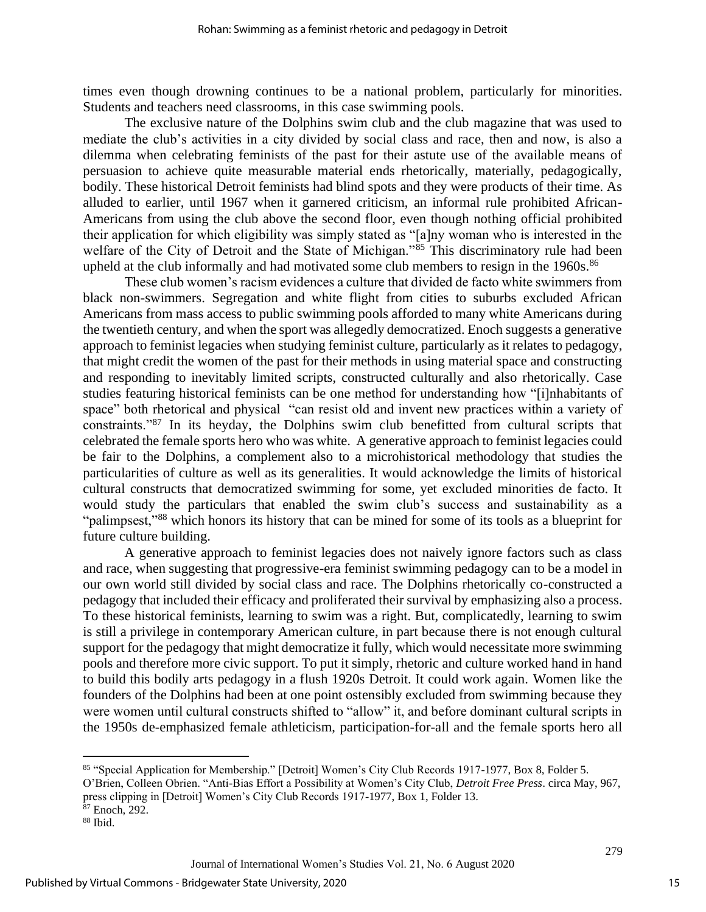times even though drowning continues to be a national problem, particularly for minorities. Students and teachers need classrooms, in this case swimming pools.

The exclusive nature of the Dolphins swim club and the club magazine that was used to mediate the club's activities in a city divided by social class and race, then and now, is also a dilemma when celebrating feminists of the past for their astute use of the available means of persuasion to achieve quite measurable material ends rhetorically, materially, pedagogically, bodily. These historical Detroit feminists had blind spots and they were products of their time. As alluded to earlier, until 1967 when it garnered criticism, an informal rule prohibited African-Americans from using the club above the second floor, even though nothing official prohibited their application for which eligibility was simply stated as "[a]ny woman who is interested in the welfare of the City of Detroit and the State of Michigan."<sup>85</sup> This discriminatory rule had been upheld at the club informally and had motivated some club members to resign in the 1960s.<sup>86</sup>

These club women's racism evidences a culture that divided de facto white swimmers from black non-swimmers. Segregation and white flight from cities to suburbs excluded African Americans from mass access to public swimming pools afforded to many white Americans during the twentieth century, and when the sport was allegedly democratized. Enoch suggests a generative approach to feminist legacies when studying feminist culture, particularly as it relates to pedagogy, that might credit the women of the past for their methods in using material space and constructing and responding to inevitably limited scripts, constructed culturally and also rhetorically. Case studies featuring historical feminists can be one method for understanding how "[i]nhabitants of space" both rhetorical and physical "can resist old and invent new practices within a variety of constraints."<sup>87</sup> In its heyday, the Dolphins swim club benefitted from cultural scripts that celebrated the female sports hero who was white. A generative approach to feminist legacies could be fair to the Dolphins, a complement also to a microhistorical methodology that studies the particularities of culture as well as its generalities. It would acknowledge the limits of historical cultural constructs that democratized swimming for some, yet excluded minorities de facto. It would study the particulars that enabled the swim club's success and sustainability as a "palimpsest,"<sup>88</sup> which honors its history that can be mined for some of its tools as a blueprint for future culture building.

A generative approach to feminist legacies does not naively ignore factors such as class and race, when suggesting that progressive-era feminist swimming pedagogy can to be a model in our own world still divided by social class and race. The Dolphins rhetorically co-constructed a pedagogy that included their efficacy and proliferated their survival by emphasizing also a process. To these historical feminists, learning to swim was a right. But, complicatedly, learning to swim is still a privilege in contemporary American culture, in part because there is not enough cultural support for the pedagogy that might democratize it fully, which would necessitate more swimming pools and therefore more civic support. To put it simply, rhetoric and culture worked hand in hand to build this bodily arts pedagogy in a flush 1920s Detroit. It could work again. Women like the founders of the Dolphins had been at one point ostensibly excluded from swimming because they were women until cultural constructs shifted to "allow" it, and before dominant cultural scripts in the 1950s de-emphasized female athleticism, participation-for-all and the female sports hero all

<sup>85</sup> "Special Application for Membership." [Detroit] Women's City Club Records 1917-1977, Box 8, Folder 5.

O'Brien, Colleen Obrien. "Anti-Bias Effort a Possibility at Women's City Club, *Detroit Free Press*. circa May, 967, press clipping in [Detroit] Women's City Club Records 1917-1977, Box 1, Folder 13.

<sup>87</sup> Enoch, 292.

<sup>88</sup> Ibid.